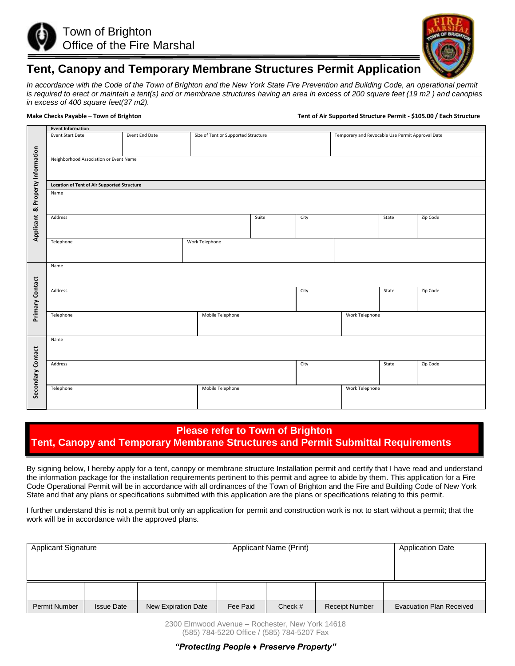



## **Tent, Canopy and Temporary Membrane Structures Permit Application**

*In accordance with the Code of the Town of Brighton and the New York State Fire Prevention and Building Code, an operational permit is required to erect or maintain a tent(s) and or membrane structures having an area in excess of 200 square feet (19 m2 ) and canopies in excess of 400 square feet(37 m2).*

**Make Checks Payable – Town of Brighton Tent of Air Supported Structure Permit - \$105.00 / Each Structure** 

|                                  | <b>Event Information</b>                           |                |                                     |       |      |                                                  |          |          |  |  |  |  |  |  |
|----------------------------------|----------------------------------------------------|----------------|-------------------------------------|-------|------|--------------------------------------------------|----------|----------|--|--|--|--|--|--|
|                                  | <b>Event Start Date</b>                            | Event End Date | Size of Tent or Supported Structure |       |      | Temporary and Revocable Use Permit Approval Date |          |          |  |  |  |  |  |  |
|                                  |                                                    |                |                                     |       |      |                                                  |          |          |  |  |  |  |  |  |
|                                  |                                                    |                |                                     |       |      |                                                  |          |          |  |  |  |  |  |  |
|                                  | Neighborhood Association or Event Name             |                |                                     |       |      |                                                  |          |          |  |  |  |  |  |  |
|                                  |                                                    |                |                                     |       |      |                                                  |          |          |  |  |  |  |  |  |
|                                  |                                                    |                |                                     |       |      |                                                  |          |          |  |  |  |  |  |  |
| Applicant & Property Information | <b>Location of Tent of Air Supported Structure</b> |                |                                     |       |      |                                                  |          |          |  |  |  |  |  |  |
|                                  | Name                                               |                |                                     |       |      |                                                  |          |          |  |  |  |  |  |  |
|                                  |                                                    |                |                                     |       |      |                                                  |          |          |  |  |  |  |  |  |
|                                  |                                                    |                |                                     |       |      |                                                  |          |          |  |  |  |  |  |  |
|                                  | Address                                            |                |                                     | Suite | City |                                                  | State    | Zip Code |  |  |  |  |  |  |
|                                  |                                                    |                |                                     |       |      |                                                  |          |          |  |  |  |  |  |  |
|                                  |                                                    |                |                                     |       |      |                                                  |          |          |  |  |  |  |  |  |
|                                  | Telephone                                          |                | Work Telephone                      |       |      |                                                  |          |          |  |  |  |  |  |  |
|                                  |                                                    |                |                                     |       |      |                                                  |          |          |  |  |  |  |  |  |
|                                  |                                                    |                |                                     |       |      |                                                  |          |          |  |  |  |  |  |  |
|                                  | Name                                               |                |                                     |       |      |                                                  |          |          |  |  |  |  |  |  |
|                                  |                                                    |                |                                     |       |      |                                                  |          |          |  |  |  |  |  |  |
| Primary Contact                  |                                                    |                |                                     |       |      |                                                  |          |          |  |  |  |  |  |  |
|                                  | Address                                            |                |                                     |       | City |                                                  | State    | Zip Code |  |  |  |  |  |  |
|                                  |                                                    |                |                                     |       |      |                                                  |          |          |  |  |  |  |  |  |
|                                  |                                                    |                |                                     |       |      |                                                  |          |          |  |  |  |  |  |  |
|                                  | Telephone                                          |                | Mobile Telephone                    |       |      | Work Telephone                                   |          |          |  |  |  |  |  |  |
|                                  |                                                    |                |                                     |       |      |                                                  |          |          |  |  |  |  |  |  |
|                                  |                                                    |                |                                     |       |      |                                                  |          |          |  |  |  |  |  |  |
|                                  | Name                                               |                |                                     |       |      |                                                  |          |          |  |  |  |  |  |  |
|                                  |                                                    |                |                                     |       |      |                                                  |          |          |  |  |  |  |  |  |
|                                  |                                                    |                |                                     |       |      |                                                  |          |          |  |  |  |  |  |  |
|                                  | Address                                            |                |                                     | City  |      | State                                            | Zip Code |          |  |  |  |  |  |  |
|                                  |                                                    |                |                                     |       |      |                                                  |          |          |  |  |  |  |  |  |
|                                  |                                                    |                |                                     |       |      |                                                  |          |          |  |  |  |  |  |  |
| Secondary Contact                | Telephone                                          |                | Mobile Telephone                    |       |      | Work Telephone                                   |          |          |  |  |  |  |  |  |
|                                  |                                                    |                |                                     |       |      |                                                  |          |          |  |  |  |  |  |  |
|                                  |                                                    |                |                                     |       |      |                                                  |          |          |  |  |  |  |  |  |

## **Please refer to Town of Brighton Tent, Canopy and Temporary Membrane Structures and Permit Submittal Requirements**

By signing below, I hereby apply for a tent, canopy or membrane structure Installation permit and certify that I have read and understand the information package for the installation requirements pertinent to this permit and agree to abide by them. This application for a Fire Code Operational Permit will be in accordance with all ordinances of the Town of Brighton and the Fire and Building Code of New York State and that any plans or specifications submitted with this application are the plans or specifications relating to this permit.

I further understand this is not a permit but only an application for permit and construction work is not to start without a permit; that the work will be in accordance with the approved plans.

| <b>Applicant Signature</b> |                   |                     |          | Applicant Name (Print) | <b>Application Date</b> |                                 |
|----------------------------|-------------------|---------------------|----------|------------------------|-------------------------|---------------------------------|
|                            |                   |                     |          |                        |                         |                                 |
|                            |                   |                     |          |                        |                         |                                 |
| <b>Permit Number</b>       | <b>Issue Date</b> | New Expiration Date | Fee Paid | Check $#$              | <b>Receipt Number</b>   | <b>Evacuation Plan Received</b> |

2300 Elmwood Avenue – Rochester, New York 14618 (585) 784-5220 Office / (585) 784-5207 Fax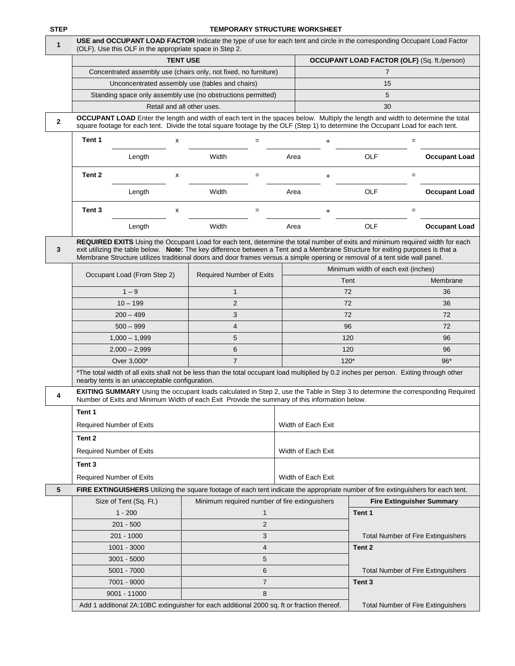## **TEMPORARY STRUCTURE WORKSHEET**

| 1 | USE and OCCUPANT LOAD FACTOR Indicate the type of use for each tent and circle in the corresponding Occupant Load Factor<br>(OLF). Use this OLF in the appropriate space in Step 2.                                                                                                                                                                                                             |                                                                  |                                                    |                                           |                                     |                                           |  |  |  |  |  |  |  |
|---|-------------------------------------------------------------------------------------------------------------------------------------------------------------------------------------------------------------------------------------------------------------------------------------------------------------------------------------------------------------------------------------------------|------------------------------------------------------------------|----------------------------------------------------|-------------------------------------------|-------------------------------------|-------------------------------------------|--|--|--|--|--|--|--|
|   |                                                                                                                                                                                                                                                                                                                                                                                                 | <b>TENT USE</b>                                                  | <b>OCCUPANT LOAD FACTOR (OLF)</b> (Sq. ft./person) |                                           |                                     |                                           |  |  |  |  |  |  |  |
|   |                                                                                                                                                                                                                                                                                                                                                                                                 | Concentrated assembly use (chairs only, not fixed, no furniture) |                                                    | $\overline{7}$                            |                                     |                                           |  |  |  |  |  |  |  |
|   |                                                                                                                                                                                                                                                                                                                                                                                                 | Unconcentrated assembly use (tables and chairs)                  |                                                    |                                           |                                     |                                           |  |  |  |  |  |  |  |
|   |                                                                                                                                                                                                                                                                                                                                                                                                 | Standing space only assembly use (no obstructions permitted)     |                                                    | 5                                         |                                     |                                           |  |  |  |  |  |  |  |
|   |                                                                                                                                                                                                                                                                                                                                                                                                 | Retail and all other uses.                                       |                                                    |                                           | 30                                  |                                           |  |  |  |  |  |  |  |
| 2 | OCCUPANT LOAD Enter the length and width of each tent in the spaces below. Multiply the length and width to determine the total<br>square footage for each tent. Divide the total square footage by the OLF (Step 1) to determine the Occupant Load for each tent.                                                                                                                              |                                                                  |                                                    |                                           |                                     |                                           |  |  |  |  |  |  |  |
|   | Tent 1<br>х                                                                                                                                                                                                                                                                                                                                                                                     | $=$                                                              |                                                    | ÷                                         |                                     | $=$                                       |  |  |  |  |  |  |  |
|   | Length                                                                                                                                                                                                                                                                                                                                                                                          | Width                                                            | Area                                               |                                           | OLF                                 | <b>Occupant Load</b>                      |  |  |  |  |  |  |  |
|   | Tent 2<br>х                                                                                                                                                                                                                                                                                                                                                                                     | $=$                                                              |                                                    | ÷                                         |                                     | $=$                                       |  |  |  |  |  |  |  |
|   | Length                                                                                                                                                                                                                                                                                                                                                                                          | Width                                                            |                                                    |                                           | OLF                                 | <b>Occupant Load</b>                      |  |  |  |  |  |  |  |
|   | Tent <sub>3</sub><br>x                                                                                                                                                                                                                                                                                                                                                                          | $=$                                                              |                                                    | ÷                                         |                                     | $=$                                       |  |  |  |  |  |  |  |
|   | Length                                                                                                                                                                                                                                                                                                                                                                                          | Width                                                            | Area                                               |                                           | OLF                                 | <b>Occupant Load</b>                      |  |  |  |  |  |  |  |
| 3 | REQUIRED EXITS Using the Occupant Load for each tent, determine the total number of exits and minimum required width for each<br>exit utilizing the table below. Note: The key difference between a Tent and a Membrane Structure for exiting purposes is that a<br>Membrane Structure utilizes traditional doors and door frames versus a simple opening or removal of a tent side wall panel. |                                                                  |                                                    |                                           |                                     |                                           |  |  |  |  |  |  |  |
|   |                                                                                                                                                                                                                                                                                                                                                                                                 |                                                                  |                                                    |                                           | Minimum width of each exit (inches) |                                           |  |  |  |  |  |  |  |
|   | Occupant Load (From Step 2)                                                                                                                                                                                                                                                                                                                                                                     | Required Number of Exits                                         |                                                    |                                           | Tent                                | Membrane                                  |  |  |  |  |  |  |  |
|   | $1 - 9$                                                                                                                                                                                                                                                                                                                                                                                         | $\mathbf{1}$                                                     |                                                    |                                           | 72                                  | 36                                        |  |  |  |  |  |  |  |
|   | $10 - 199$                                                                                                                                                                                                                                                                                                                                                                                      | 2                                                                |                                                    |                                           | 72                                  | 36                                        |  |  |  |  |  |  |  |
|   | $200 - 499$                                                                                                                                                                                                                                                                                                                                                                                     | 3                                                                |                                                    |                                           | 72                                  | 72                                        |  |  |  |  |  |  |  |
|   | $500 - 999$                                                                                                                                                                                                                                                                                                                                                                                     | 4                                                                |                                                    |                                           | 96                                  | 72                                        |  |  |  |  |  |  |  |
|   | $1,000 - 1,999$                                                                                                                                                                                                                                                                                                                                                                                 | 5                                                                |                                                    |                                           | 120                                 | 96                                        |  |  |  |  |  |  |  |
|   | $2,000 - 2,999$                                                                                                                                                                                                                                                                                                                                                                                 | 6                                                                |                                                    |                                           | 120                                 | 96                                        |  |  |  |  |  |  |  |
|   | Over 3,000*                                                                                                                                                                                                                                                                                                                                                                                     | $\overline{7}$                                                   |                                                    |                                           | $120*$                              | $96*$                                     |  |  |  |  |  |  |  |
|   | *The total width of all exits shall not be less than the total occupant load multiplied by 0.2 inches per person. Exiting through other<br>nearby tents is an unacceptable configuration.                                                                                                                                                                                                       |                                                                  |                                                    |                                           |                                     |                                           |  |  |  |  |  |  |  |
| 4 | EXITING SUMMARY Using the occupant loads calculated in Step 2, use the Table in Step 3 to determine the corresponding Required<br>Number of Exits and Minimum Width of each Exit Provide the summary of this information below.                                                                                                                                                                 |                                                                  |                                                    |                                           |                                     |                                           |  |  |  |  |  |  |  |
|   | Tent 1                                                                                                                                                                                                                                                                                                                                                                                          |                                                                  |                                                    |                                           |                                     |                                           |  |  |  |  |  |  |  |
|   | <b>Required Number of Exits</b>                                                                                                                                                                                                                                                                                                                                                                 |                                                                  |                                                    | Width of Each Exit                        |                                     |                                           |  |  |  |  |  |  |  |
|   | Tent 2                                                                                                                                                                                                                                                                                                                                                                                          |                                                                  |                                                    |                                           |                                     |                                           |  |  |  |  |  |  |  |
|   | <b>Required Number of Exits</b>                                                                                                                                                                                                                                                                                                                                                                 |                                                                  |                                                    | Width of Each Exit                        |                                     |                                           |  |  |  |  |  |  |  |
|   | Tent 3                                                                                                                                                                                                                                                                                                                                                                                          |                                                                  |                                                    |                                           |                                     |                                           |  |  |  |  |  |  |  |
|   | <b>Required Number of Exits</b>                                                                                                                                                                                                                                                                                                                                                                 |                                                                  |                                                    | Width of Each Exit                        |                                     |                                           |  |  |  |  |  |  |  |
| 5 | FIRE EXTINGUISHERS Utilizing the square footage of each tent indicate the appropriate number of fire extinguishers for each tent.                                                                                                                                                                                                                                                               |                                                                  |                                                    |                                           |                                     |                                           |  |  |  |  |  |  |  |
|   | Size of Tent (Sq. Ft.)                                                                                                                                                                                                                                                                                                                                                                          | Minimum required number of fire extinguishers                    |                                                    |                                           |                                     | <b>Fire Extinguisher Summary</b>          |  |  |  |  |  |  |  |
|   | $1 - 200$                                                                                                                                                                                                                                                                                                                                                                                       | 1                                                                |                                                    |                                           | Tent 1                              |                                           |  |  |  |  |  |  |  |
|   | $201 - 500$                                                                                                                                                                                                                                                                                                                                                                                     | $\overline{2}$                                                   |                                                    |                                           |                                     |                                           |  |  |  |  |  |  |  |
|   | 201 - 1000                                                                                                                                                                                                                                                                                                                                                                                      | 3                                                                |                                                    |                                           |                                     | <b>Total Number of Fire Extinguishers</b> |  |  |  |  |  |  |  |
|   | $1001 - 3000$                                                                                                                                                                                                                                                                                                                                                                                   | 4                                                                |                                                    |                                           | Tent <sub>2</sub>                   |                                           |  |  |  |  |  |  |  |
|   | $3001 - 5000$                                                                                                                                                                                                                                                                                                                                                                                   | 5                                                                |                                                    |                                           |                                     |                                           |  |  |  |  |  |  |  |
|   | 5001 - 7000                                                                                                                                                                                                                                                                                                                                                                                     | 6                                                                |                                                    |                                           |                                     | <b>Total Number of Fire Extinguishers</b> |  |  |  |  |  |  |  |
|   | 7001 - 9000                                                                                                                                                                                                                                                                                                                                                                                     | $\overline{7}$                                                   |                                                    |                                           | Tent <sub>3</sub>                   |                                           |  |  |  |  |  |  |  |
|   | 9001 - 11000                                                                                                                                                                                                                                                                                                                                                                                    | 8                                                                |                                                    |                                           |                                     |                                           |  |  |  |  |  |  |  |
|   | Add 1 additional 2A:10BC extinguisher for each additional 2000 sq. ft or fraction thereof.                                                                                                                                                                                                                                                                                                      |                                                                  |                                                    | <b>Total Number of Fire Extinguishers</b> |                                     |                                           |  |  |  |  |  |  |  |